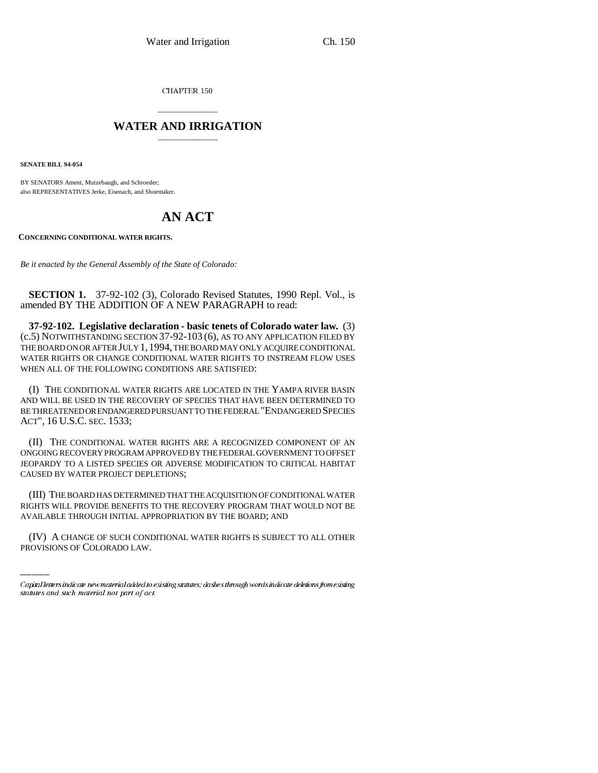CHAPTER 150

## \_\_\_\_\_\_\_\_\_\_\_\_\_\_\_ **WATER AND IRRIGATION** \_\_\_\_\_\_\_\_\_\_\_\_\_\_\_

**SENATE BILL 94-054**

BY SENATORS Ament, Mutzebaugh, and Schroeder; also REPRESENTATIVES Jerke, Eisenach, and Shoemaker.

## **AN ACT**

**CONCERNING CONDITIONAL WATER RIGHTS.**

*Be it enacted by the General Assembly of the State of Colorado:*

**SECTION 1.** 37-92-102 (3), Colorado Revised Statutes, 1990 Repl. Vol., is amended BY THE ADDITION OF A NEW PARAGRAPH to read:

**37-92-102. Legislative declaration - basic tenets of Colorado water law.** (3) (c.5) NOTWITHSTANDING SECTION 37-92-103 (6), AS TO ANY APPLICATION FILED BY THE BOARD ON OR AFTER JULY 1,1994, THE BOARD MAY ONLY ACQUIRE CONDITIONAL WATER RIGHTS OR CHANGE CONDITIONAL WATER RIGHTS TO INSTREAM FLOW USES WHEN ALL OF THE FOLLOWING CONDITIONS ARE SATISFIED:

(I) THE CONDITIONAL WATER RIGHTS ARE LOCATED IN THE YAMPA RIVER BASIN AND WILL BE USED IN THE RECOVERY OF SPECIES THAT HAVE BEEN DETERMINED TO BE THREATENED OR ENDANGERED PURSUANT TO THE FEDERAL "ENDANGERED SPECIES ACT", 16 U.S.C. SEC. 1533;

(II) THE CONDITIONAL WATER RIGHTS ARE A RECOGNIZED COMPONENT OF AN ONGOING RECOVERY PROGRAM APPROVED BY THE FEDERAL GOVERNMENT TO OFFSET JEOPARDY TO A LISTED SPECIES OR ADVERSE MODIFICATION TO CRITICAL HABITAT CAUSED BY WATER PROJECT DEPLETIONS;

RIGHTS WILL PROVIDE BENEFITS TO THE RECOVERY PROGRAM THAT WOULD NOT BE (III) THE BOARD HAS DETERMINED THAT THE ACQUISITION OF CONDITIONAL WATER AVAILABLE THROUGH INITIAL APPROPRIATION BY THE BOARD; AND

(IV) A CHANGE OF SUCH CONDITIONAL WATER RIGHTS IS SUBJECT TO ALL OTHER PROVISIONS OF COLORADO LAW.

Capital letters indicate new material added to existing statutes; dashes through words indicate deletions from existing statutes and such material not part of act.